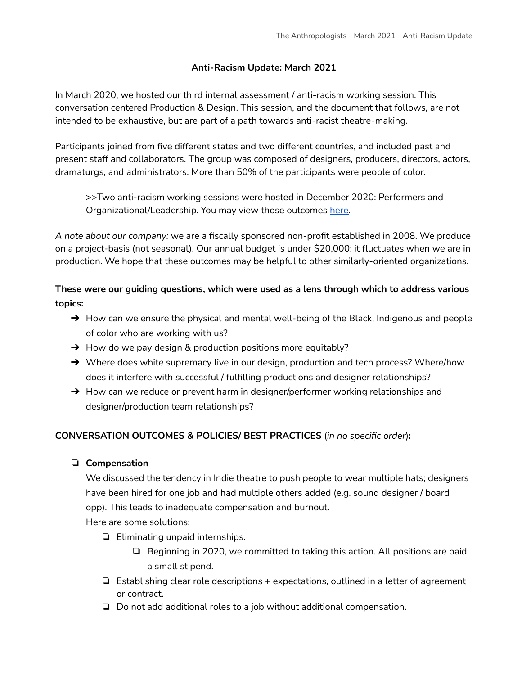### **Anti-Racism Update: March 2021**

In March 2020, we hosted our third internal assessment / anti-racism working session. This conversation centered Production & Design. This session, and the document that follows, are not intended to be exhaustive, but are part of a path towards anti-racist theatre-making.

Participants joined from five different states and two different countries, and included past and present staff and collaborators. The group was composed of designers, producers, directors, actors, dramaturgs, and administrators. More than 50% of the participants were people of color.

>>Two anti-racism working sessions were hosted in December 2020: Performers and Organizational/Leadership. You may view those outcomes [here.](https://13052b57-a86f-fed7-9035-2570e3e6fcee.filesusr.com/ugd/51de75_ac3e33170c2544d3a35475e1bae6063c.pdf)

*A note about our company:* we are a fiscally sponsored non-profit established in 2008. We produce on a project-basis (not seasonal). Our annual budget is under \$20,000; it fluctuates when we are in production. We hope that these outcomes may be helpful to other similarly-oriented organizations.

**These were our guiding questions, which were used as a lens through which to address various topics:**

- → How can we ensure the physical and mental well-being of the Black, Indigenous and people of color who are working with us?
- $\rightarrow$  How do we pay design & production positions more equitably?
- → Where does white supremacy live in our design, production and tech process? Where/how does it interfere with successful / fulfilling productions and designer relationships?
- → How can we reduce or prevent harm in designer/performer working relationships and designer/production team relationships?

### **CONVERSATION OUTCOMES & POLICIES/ BEST PRACTICES** (*in no specific order*)**:**

### ❏ **Compensation**

We discussed the tendency in Indie theatre to push people to wear multiple hats; designers have been hired for one job and had multiple others added (e.g. sound designer / board opp). This leads to inadequate compensation and burnout.

Here are some solutions:

- ❏ Eliminating unpaid internships.
	- ❏ Beginning in 2020, we committed to taking this action. All positions are paid a small stipend.
- ❏ Establishing clear role descriptions + expectations, outlined in a letter of agreement or contract.
- ❏ Do not add additional roles to a job without additional compensation.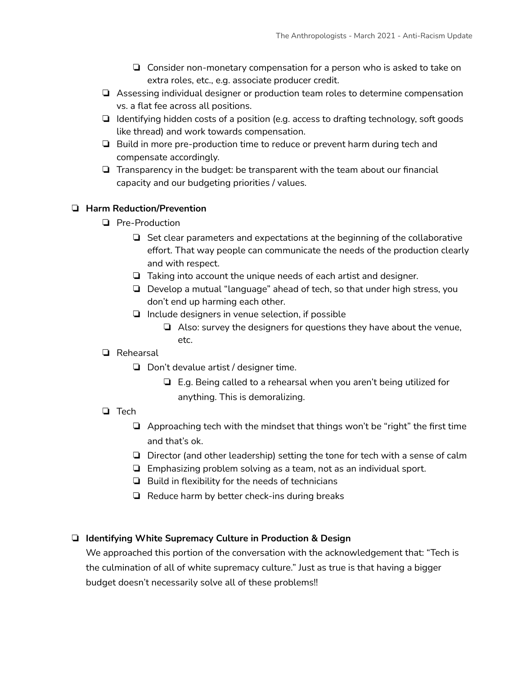- ❏ Consider non-monetary compensation for a person who is asked to take on extra roles, etc., e.g. associate producer credit.
- ❏ Assessing individual designer or production team roles to determine compensation vs. a flat fee across all positions.
- ❏ Identifying hidden costs of a position (e.g. access to drafting technology, soft goods like thread) and work towards compensation.
- ❏ Build in more pre-production time to reduce or prevent harm during tech and compensate accordingly.
- ❏ Transparency in the budget: be transparent with the team about our financial capacity and our budgeting priorities / values.

## ❏ **Harm Reduction/Prevention**

- ❏ Pre-Production
	- ❏ Set clear parameters and expectations at the beginning of the collaborative effort. That way people can communicate the needs of the production clearly and with respect.
	- ❏ Taking into account the unique needs of each artist and designer.
	- ❏ Develop a mutual "language" ahead of tech, so that under high stress, you don't end up harming each other.
	- ❏ Include designers in venue selection, if possible
		- ❏ Also: survey the designers for questions they have about the venue, etc.

### ❏ Rehearsal

- ❏ Don't devalue artist / designer time.
	- ❏ E.g. Being called to a rehearsal when you aren't being utilized for anything. This is demoralizing.

### ❏ Tech

- ❏ Approaching tech with the mindset that things won't be "right" the first time and that's ok.
- ❏ Director (and other leadership) setting the tone for tech with a sense of calm
- ❏ Emphasizing problem solving as a team, not as an individual sport.
- ❏ Build in flexibility for the needs of technicians
- ❏ Reduce harm by better check-ins during breaks

### ❏ **Identifying White Supremacy Culture in Production & Design**

We approached this portion of the conversation with the acknowledgement that: "Tech is the culmination of all of white supremacy culture." Just as true is that having a bigger budget doesn't necessarily solve all of these problems!!